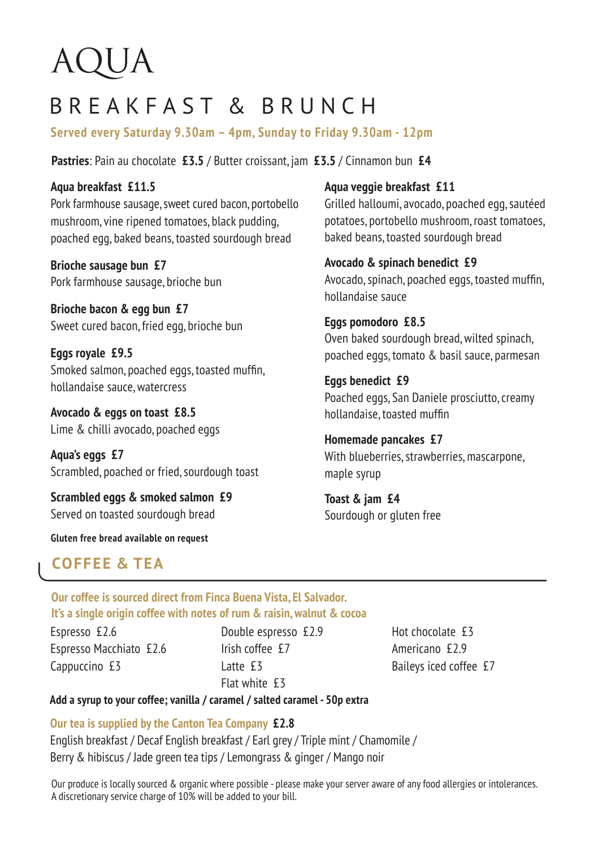# AQUA

## BREAKFAST & BRUNCH

**Served every Saturday 9.30am – 4pm, Sunday to Friday 9.30am - 12pm**

**Pastries**: Pain au chocolate **£3.5** / Butter croissant, jam **£3.5** / Cinnamon bun **£4**

**Aqua breakfast £11.5** Pork farmhouse sausage, sweet cured bacon, portobello mushroom, vine ripened tomatoes, black pudding, poached egg, baked beans, toasted sourdough bread

**Brioche sausage bun £7** Pork farmhouse sausage, brioche bun

**Brioche bacon & egg bun £7** Sweet cured bacon, fried egg, brioche bun

**Eggs royale £9.5** Smoked salmon, poached eggs, toasted muffin, hollandaise sauce, watercress

**Avocado & eggs on toast £8.5** Lime & chilli avocado, poached eggs

**Aqua's eggs £7** Scrambled, poached or fried, sourdough toast

**Scrambled eggs & smoked salmon £9** Served on toasted sourdough bread

**Gluten free bread available on request**

#### **Aqua veggie breakfast £11**

Grilled halloumi, avocado, poached egg, sautéed potatoes, portobello mushroom, roast tomatoes, baked beans, toasted sourdough bread

**Avocado & spinach benedict £9** Avocado, spinach, poached eggs, toasted muffin, hollandaise sauce

#### **Eggs pomodoro £8.5** Oven baked sourdough bread, wilted spinach,

poached eggs, tomato & basil sauce, parmesan

**Eggs benedict £9** Poached eggs, San Daniele prosciutto, creamy hollandaise, toasted muffin

**Homemade pancakes £7** With blueberries, strawberries, mascarpone, maple syrup

**Toast & jam £4** Sourdough or gluten free

### **COFFEE & TEA**

**Our coffee is sourced direct from Finca Buena Vista, El Salvador. It's a single origin coffee with notes of rum & raisin, walnut & cocoa**

Espresso £2.6 Espresso Macchiato £2.6 Cappuccino £3

Double espresso £2.9 Irish coffee £7 Latte f3 Flat white £3

Hot chocolate £3 Americano £2.9 Baileys iced coffee £7

#### **Add a syrup to your coffee; vanilla / caramel / salted caramel - 50p extra**

#### **Our tea is supplied by the Canton Tea Company £2.8**

English breakfast / Decaf English breakfast / Earl grey / Triple mint / Chamomile / Berry & hibiscus / Jade green tea tips / Lemongrass & ginger / Mango noir

Our produce is locally sourced & organic where possible - please make your server aware of any food allergies or intolerances. A discretionary service charge of 10% will be added to your bill.